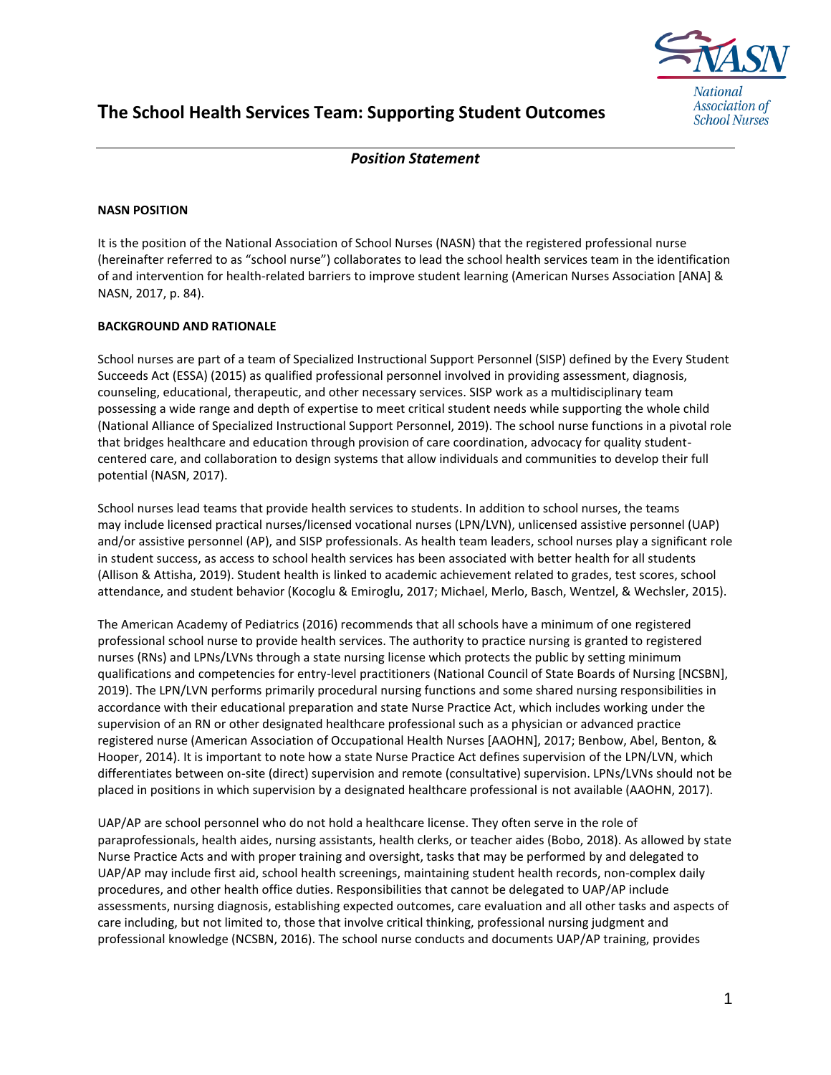

# **The School Health Services Team: Supporting Student Outcomes**

## *Position Statement*

### **NASN POSITION**

It is the position of the National Association of School Nurses (NASN) that the registered professional nurse (hereinafter referred to as "school nurse") collaborates to lead the school health services team in the identification of and intervention for health-related barriers to improve student learning (American Nurses Association [ANA] & NASN, 2017, p. 84).

#### **BACKGROUND AND RATIONALE**

School nurses are part of a team of Specialized Instructional Support Personnel (SISP) defined by the Every Student Succeeds Act (ESSA) (2015) as qualified professional personnel involved in providing assessment, diagnosis, counseling, educational, therapeutic, and other necessary services. SISP work as a multidisciplinary team possessing a wide range and depth of expertise to meet critical student needs while supporting the whole child (National Alliance of Specialized Instructional Support Personnel, 2019). The school nurse functions in a pivotal role that bridges healthcare and education through provision of care coordination, advocacy for quality studentcentered care, and collaboration to design systems that allow individuals and communities to develop their full potential (NASN, 2017).

School nurses lead teams that provide health services to students. In addition to school nurses, the teams may include licensed practical nurses/licensed vocational nurses (LPN/LVN), unlicensed assistive personnel (UAP) and/or assistive personnel (AP), and SISP professionals. As health team leaders, school nurses play a significant role in student success, as access to school health services has been associated with better health for all students (Allison & Attisha, 2019). Student health is linked to academic achievement related to grades, test scores, school attendance, and student behavior (Kocoglu & Emiroglu, 2017; Michael, Merlo, Basch, Wentzel, & Wechsler, 2015).

The American Academy of Pediatrics (2016) recommends that all schools have a minimum of one registered professional school nurse to provide health services. The authority to practice nursing is granted to registered nurses (RNs) and LPNs/LVNs through a state nursing license which protects the public by setting minimum qualifications and competencies for entry-level practitioners (National Council of State Boards of Nursing [NCSBN], 2019). The LPN/LVN performs primarily procedural nursing functions and some shared nursing responsibilities in accordance with their educational preparation and state Nurse Practice Act, which includes working under the supervision of an RN or other designated healthcare professional such as a physician or advanced practice registered nurse (American Association of Occupational Health Nurses [AAOHN], 2017; Benbow, Abel, Benton, & Hooper, 2014). It is important to note how a state Nurse Practice Act defines supervision of the LPN/LVN, which differentiates between on-site (direct) supervision and remote (consultative) supervision. LPNs/LVNs should not be placed in positions in which supervision by a designated healthcare professional is not available (AAOHN, 2017).

UAP/AP are school personnel who do not hold a healthcare license. They often serve in the role of paraprofessionals, health aides, nursing assistants, health clerks, or teacher aides (Bobo, 2018). As allowed by state Nurse Practice Acts and with proper training and oversight, tasks that may be performed by and delegated to UAP/AP may include first aid, school health screenings, maintaining student health records, non‐complex daily procedures, and other health office duties. Responsibilities that cannot be delegated to UAP/AP include assessments, nursing diagnosis, establishing expected outcomes, care evaluation and all other tasks and aspects of care including, but not limited to, those that involve critical thinking, professional nursing judgment and professional knowledge (NCSBN, 2016). The school nurse conducts and documents UAP/AP training, provides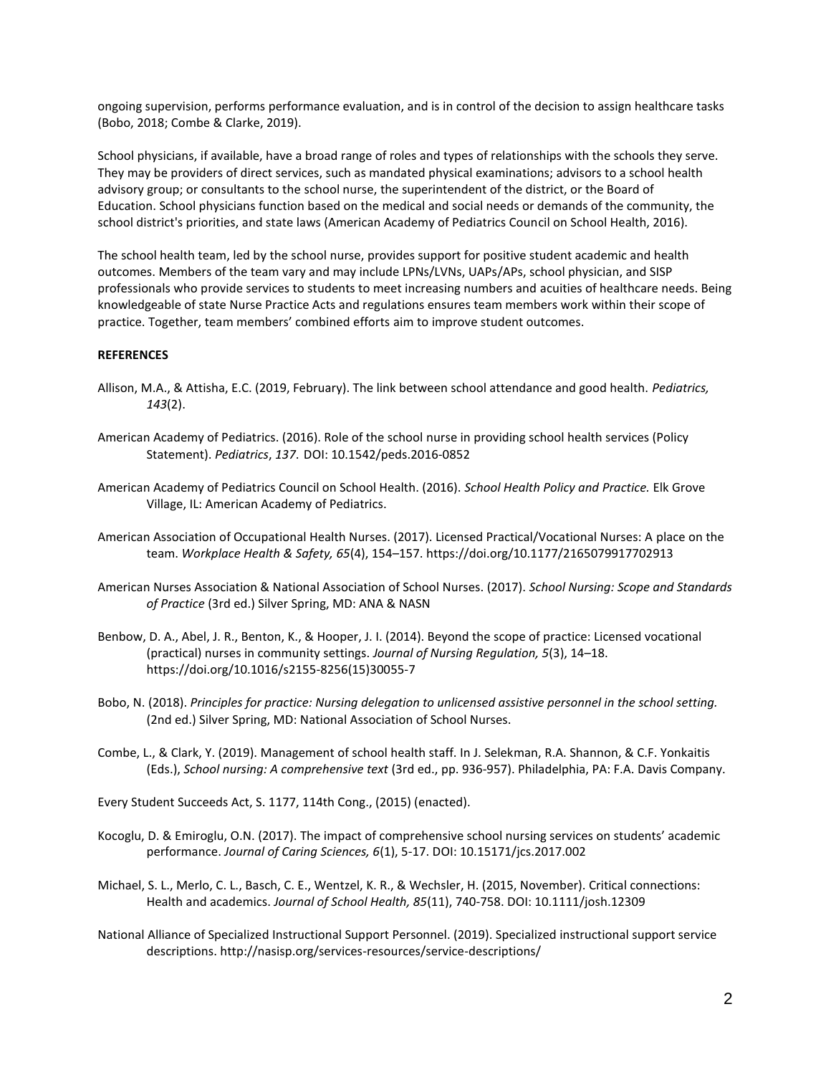ongoing supervision, performs performance evaluation, and is in control of the decision to assign healthcare tasks (Bobo, 2018; Combe & Clarke, 2019).

School physicians, if available, have a broad range of roles and types of relationships with the schools they serve. They may be providers of direct services, such as mandated physical examinations; advisors to a school health advisory group; or consultants to the school nurse, the superintendent of the district, or the Board of Education. School physicians function based on the medical and social needs or demands of the community, the school district's priorities, and state laws (American Academy of Pediatrics Council on School Health, 2016).

The school health team, led by the school nurse, provides support for positive student academic and health outcomes. Members of the team vary and may include LPNs/LVNs, UAPs/APs, school physician, and SISP professionals who provide services to students to meet increasing numbers and acuities of healthcare needs. Being knowledgeable of state Nurse Practice Acts and regulations ensures team members work within their scope of practice. Together, team members' combined efforts aim to improve student outcomes.

#### **REFERENCES**

- Allison, M.A., & Attisha, E.C. (2019, February). The link between school attendance and good health. *Pediatrics, 143*(2).
- American Academy of Pediatrics. (2016). Role of the school nurse in providing school health services (Policy Statement). *Pediatrics*, *137*. DOI: 10.1542/peds.2016-0852
- American Academy of Pediatrics Council on School Health. (2016). *School Health Policy and Practice.* Elk Grove Village, IL: American Academy of Pediatrics.
- American Association of Occupational Health Nurses. (2017). Licensed Practical/Vocational Nurses: A place on the team. *Workplace Health & Safety, 65*(4), 154–157. https://doi.org/10.1177/2165079917702913
- American Nurses Association & National Association of School Nurses. (2017). *School Nursing: Scope and Standards of Practice* (3rd ed.) Silver Spring, MD: ANA & NASN
- Benbow, D. A., Abel, J. R., Benton, K., & Hooper, J. I. (2014). Beyond the scope of practice: Licensed vocational (practical) nurses in community settings. *Journal of Nursing Regulation, 5*(3), 14–18. https://doi.org/10.1016/s2155-8256(15)30055-7
- Bobo, N. (2018). *Principles for practice: Nursing delegation to unlicensed assistive personnel in the school setting.* (2nd ed.) Silver Spring, MD: National Association of School Nurses.
- Combe, L., & Clark, Y. (2019). Management of school health staff. In J. Selekman, R.A. Shannon, & C.F. Yonkaitis (Eds.), *School nursing: A comprehensive text* (3rd ed., pp. 936-957). Philadelphia, PA: F.A. Davis Company.

Every Student Succeeds Act, S. 1177, 114th Cong., (2015) (enacted).

- Kocoglu, D. & Emiroglu, O.N. (2017). The impact of comprehensive school nursing services on students' academic performance. *Journal of Caring Sciences, 6*(1), 5-17. DOI: 10.15171/jcs.2017.002
- Michael, S. L., Merlo, C. L., Basch, C. E., Wentzel, K. R., & Wechsler, H. (2015, November). Critical connections: Health and academics. *Journal of School Health, 85*(11), 740-758. DOI: 10.1111/josh.12309
- National Alliance of Specialized Instructional Support Personnel. (2019). Specialized instructional support service descriptions. http://nasisp.org/services-resources/service-descriptions/